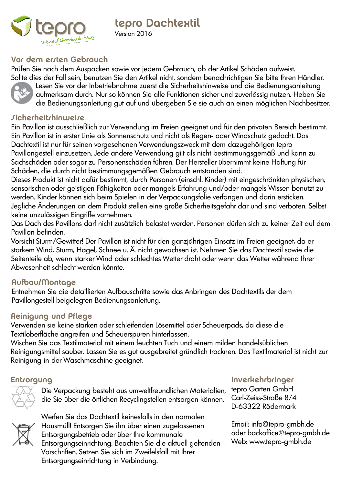

tepro Dachtextil Version 2016

# Vor dem errten Gebrauch

Prüfen Sie nach dem Auspacken sowie vor jedem Gebrauch, ob der Artikel Schäden aufweist. Sollte dies der Fall sein, benutzen Sie den Artikel nicht, sondern benachrichtigen Sie bitte Ihren Händler.



Lesen Sie vor der Inbetriebnahme zuerst die Sicherheitshinweise und die Bedienungsanleitung aufmerksam durch. Nur so können Sie alle Funktionen sicher und zuverlässig nutzen. Heben Sie die Bedienungsanleitung gut auf und übergeben Sie sie auch an einen möglichen Nachbesitzer.

# **Sicherheitshinweise**

Ein Pavillon ist ausschließlich zur Verwendung im Freien geeignet und für den privaten Bereich bestimmt. Ein Pavillon ist in erster Linie als Sonnenschutz und nicht als Regen- oder Windschutz gedacht. Das Dachtextil ist nur für seinen vorgesehenen Verwendungszweck mit dem dazugehörigen tepro Pavillongestell einzusetzen. Jede andere Verwendung gilt als nicht bestimmungsgemäß und kann zu Sachschäden oder sogar zu Personenschäden führen. Der Hersteller übernimmt keine Haftung für Schäden, die durch nicht bestimmungsgemäßen Gebrauch entstanden sind.

Dieses Produkt ist nicht dafür bestimmt, durch Personen (einschl. Kinder) mit eingeschränkten physischen, sensorischen oder geistigen Fähigkeiten oder mangels Erfahrung und/oder mangels Wissen benutzt zu werden. Kinder können sich beim Spielen in der Verpackungsfolie verfangen und darin ersticken. Jegliche Änderungen an dem Produkt stellen eine große Sicherheitsgefahr dar und sind verboten. Selbst keine unzulässigen Eingriffe vornehmen.

Das Dach des Pavillons darf nicht zusätzlich belastet werden. Personen dürfen sich zu keiner Zeit auf dem Pavillon befinden.

Vorsicht Sturm/Gewitter! Der Pavillon ist nicht für den ganzjährigen Einsatz im Freien geeignet, da er starkem Wind, Sturm, Hagel, Schnee u. Ä. nicht gewachsen ist. Nehmen Sie das Dachtextil sowie die Seitenteile ab, wenn starker Wind oder schlechtes Wetter droht oder wenn das Wetter während Ihrer Abwesenheit schlecht werden könnte.

## Aufbau/Montage

Entnehmen Sie die detaillierten Aufbauschritte sowie das Anbringen des Dachtextils der dem Pavillongestell beigelegten Bedienungsanleitung.

## Reinigung und Pflege

Verwenden sie keine starken oder schleifenden Lösemittel oder Scheuerpads, da diese die Textiloberfläche angreifen und Scheuerspuren hinterlassen.

Wischen Sie das Textilmaterial mit einem feuchten Tuch und einem milden handelsüblichen Reinigungsmittel sauber. Lassen Sie es gut ausgebreitet gründlich trocknen. Das Textilmaterial ist nicht zur Reinigung in der Waschmaschine geeignet.

Die Verpackung besteht aus umweltfreundlichen Materialien, die Sie über die örtlichen Recyclingstellen entsorgen können.

## Entsorgung Inverkehrbringer

tepro Garten GmbH Carl-Zeiss-Straße 8/4 D-63322 Rödermark



Werfen Sie das Dachtextil keinesfalls in den normalen Hausmüll! Entsorgen Sie ihn über einen zugelassenen Entsorgungsbetrieb oder über Ihre kommunale Entsorgungseinrichtung. Beachten Sie die aktuell geltenden Vorschriften. Setzen Sie sich im Zweifelsfall mit Ihrer Entsorgungseinrichtung in Verbindung.

Email: info@tepro-gmbh.de oder backoffice@tepro-gmbh.de Web: www.tepro-gmbh.de